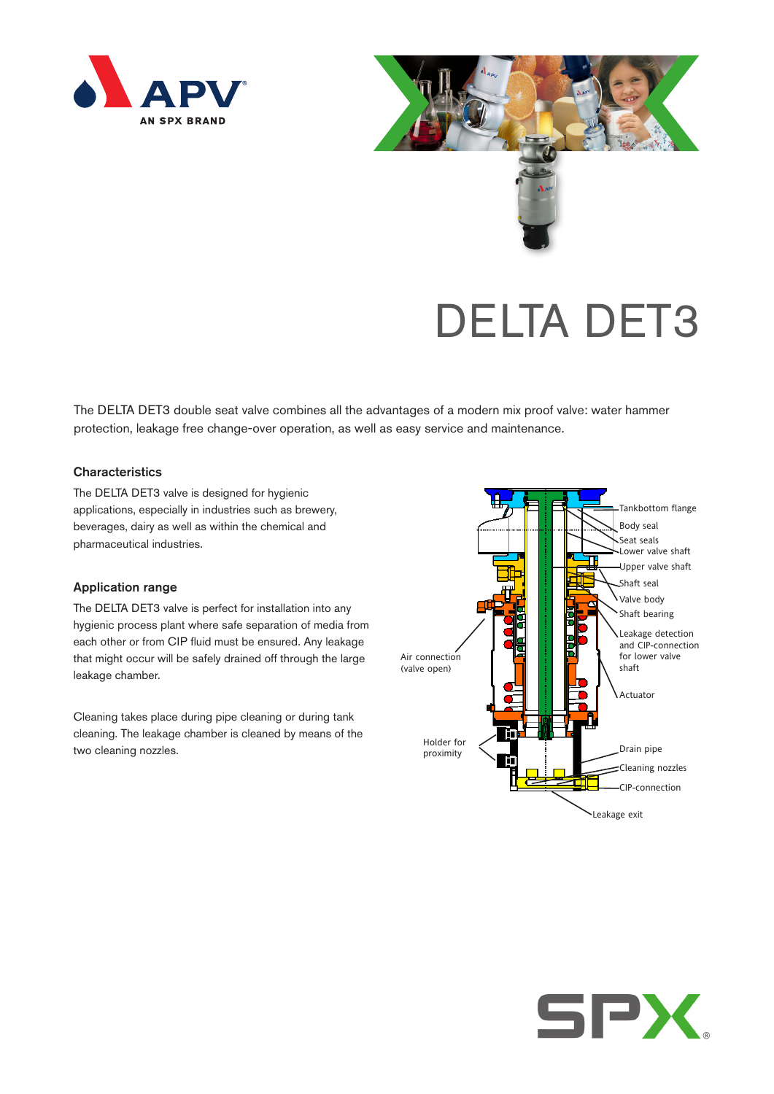



# DELTA DET3

The DELTA DET3 double seat valve combines all the advantages of a modern mix proof valve: water hammer protection, leakage free change-over operation, as well as easy service and maintenance.

## **Characteristics**

The DELTA DET3 valve is designed for hygienic applications, especially in industries such as brewery, beverages, dairy as well as within the chemical and pharmaceutical industries.

### Application range

The DELTA DET3 valve is perfect for installation into any hygienic process plant where safe separation of media from each other or from CIP fluid must be ensured. Any leakage that might occur will be safely drained off through the large leakage chamber.

Cleaning takes place during pipe cleaning or during tank cleaning. The leakage chamber is cleaned by means of the two cleaning nozzles.